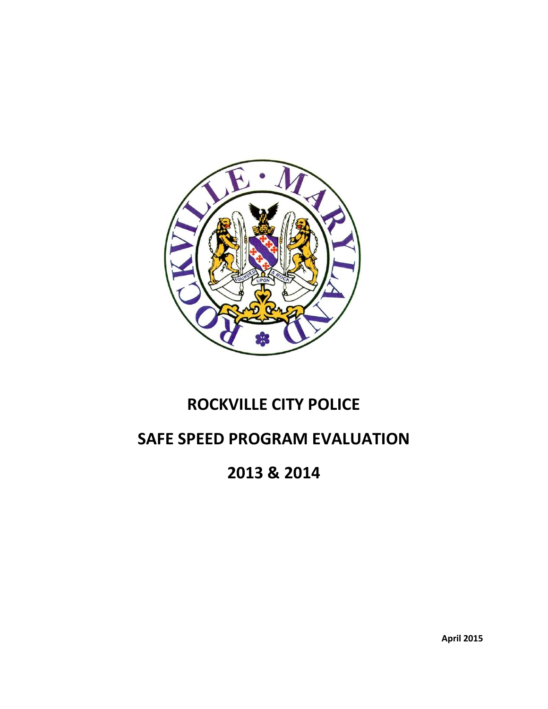

# **ROCKVILLE CITY POLICE**

# **SAFE SPEED PROGRAM EVALUATION**

# **2013 & 2014**

**April 2015**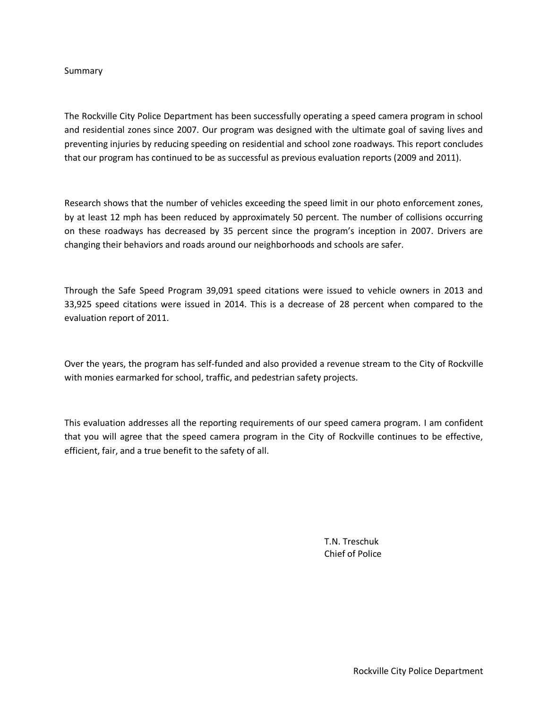#### Summary

The Rockville City Police Department has been successfully operating a speed camera program in school and residential zones since 2007. Our program was designed with the ultimate goal of saving lives and preventing injuries by reducing speeding on residential and school zone roadways. This report concludes that our program has continued to be as successful as previous evaluation reports (2009 and 2011).

Research shows that the number of vehicles exceeding the speed limit in our photo enforcement zones, by at least 12 mph has been reduced by approximately 50 percent. The number of collisions occurring on these roadways has decreased by 35 percent since the program's inception in 2007. Drivers are changing their behaviors and roads around our neighborhoods and schools are safer.

Through the Safe Speed Program 39,091 speed citations were issued to vehicle owners in 2013 and 33,925 speed citations were issued in 2014. This is a decrease of 28 percent when compared to the evaluation report of 2011.

Over the years, the program has self-funded and also provided a revenue stream to the City of Rockville with monies earmarked for school, traffic, and pedestrian safety projects.

This evaluation addresses all the reporting requirements of our speed camera program. I am confident that you will agree that the speed camera program in the City of Rockville continues to be effective, efficient, fair, and a true benefit to the safety of all.

> T.N. Treschuk Chief of Police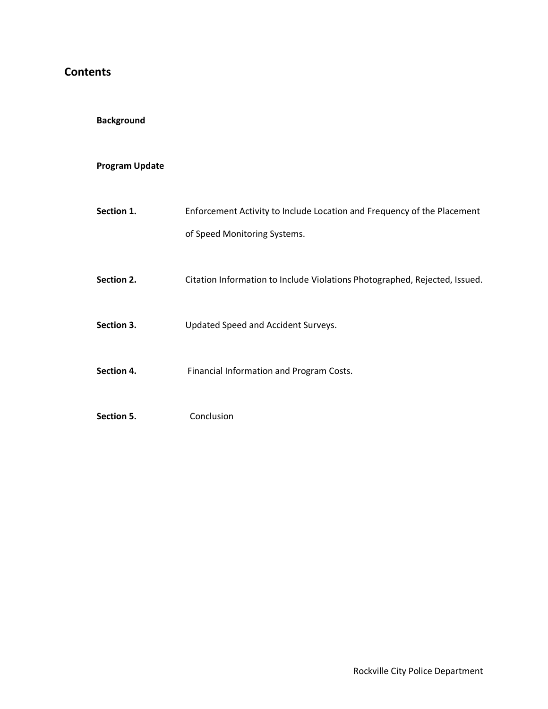### **Contents**

### **Background**

### **Program Update**

| Section 1. | Enforcement Activity to Include Location and Frequency of the Placement    |
|------------|----------------------------------------------------------------------------|
|            | of Speed Monitoring Systems.                                               |
|            |                                                                            |
| Section 2. | Citation Information to Include Violations Photographed, Rejected, Issued. |
| Section 3. | Updated Speed and Accident Surveys.                                        |
|            |                                                                            |
| Section 4. | Financial Information and Program Costs.                                   |
|            |                                                                            |
| Section 5. | Conclusion                                                                 |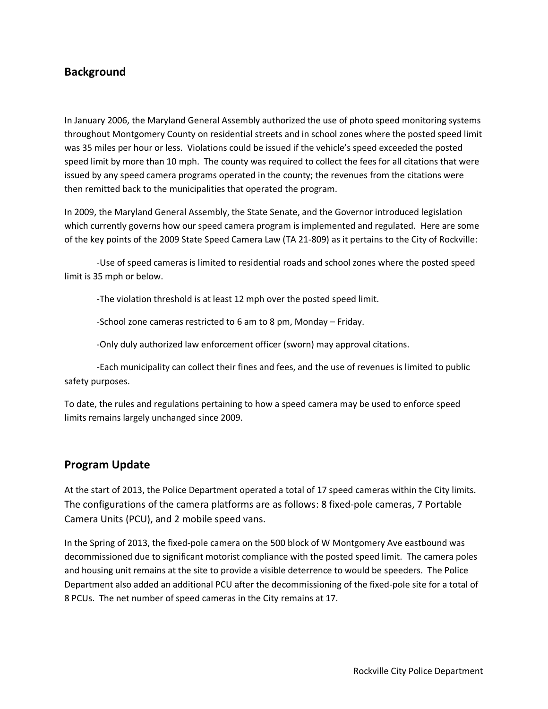### **Background**

In January 2006, the Maryland General Assembly authorized the use of photo speed monitoring systems throughout Montgomery County on residential streets and in school zones where the posted speed limit was 35 miles per hour or less. Violations could be issued if the vehicle's speed exceeded the posted speed limit by more than 10 mph. The county was required to collect the fees for all citations that were issued by any speed camera programs operated in the county; the revenues from the citations were then remitted back to the municipalities that operated the program.

In 2009, the Maryland General Assembly, the State Senate, and the Governor introduced legislation which currently governs how our speed camera program is implemented and regulated. Here are some of the key points of the 2009 State Speed Camera Law (TA 21-809) as it pertains to the City of Rockville:

-Use of speed cameras is limited to residential roads and school zones where the posted speed limit is 35 mph or below.

-The violation threshold is at least 12 mph over the posted speed limit.

-School zone cameras restricted to 6 am to 8 pm, Monday – Friday.

-Only duly authorized law enforcement officer (sworn) may approval citations.

-Each municipality can collect their fines and fees, and the use of revenues is limited to public safety purposes.

To date, the rules and regulations pertaining to how a speed camera may be used to enforce speed limits remains largely unchanged since 2009.

### **Program Update**

At the start of 2013, the Police Department operated a total of 17 speed cameras within the City limits. The configurations of the camera platforms are as follows: 8 fixed-pole cameras, 7 Portable Camera Units (PCU), and 2 mobile speed vans.

In the Spring of 2013, the fixed-pole camera on the 500 block of W Montgomery Ave eastbound was decommissioned due to significant motorist compliance with the posted speed limit. The camera poles and housing unit remains at the site to provide a visible deterrence to would be speeders. The Police Department also added an additional PCU after the decommissioning of the fixed-pole site for a total of 8 PCUs. The net number of speed cameras in the City remains at 17.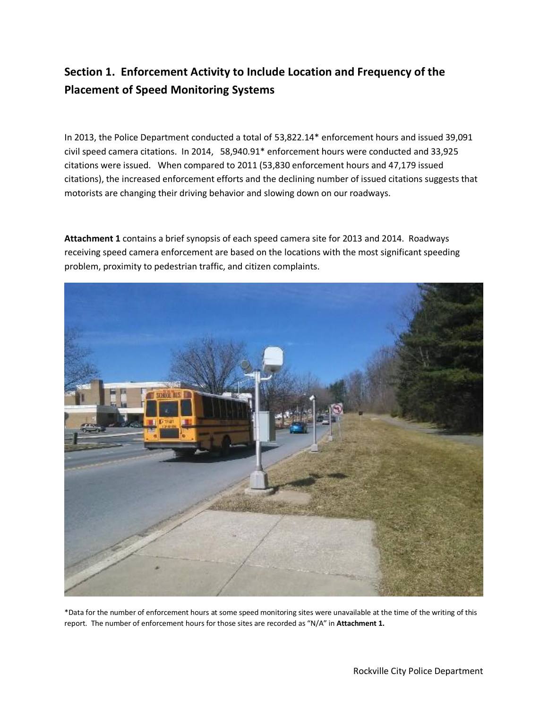# **Section 1. Enforcement Activity to Include Location and Frequency of the Placement of Speed Monitoring Systems**

In 2013, the Police Department conducted a total of 53,822.14\* enforcement hours and issued 39,091 civil speed camera citations. In 2014, 58,940.91\* enforcement hours were conducted and 33,925 citations were issued. When compared to 2011 (53,830 enforcement hours and 47,179 issued citations), the increased enforcement efforts and the declining number of issued citations suggests that motorists are changing their driving behavior and slowing down on our roadways.

**Attachment 1** contains a brief synopsis of each speed camera site for 2013 and 2014. Roadways receiving speed camera enforcement are based on the locations with the most significant speeding problem, proximity to pedestrian traffic, and citizen complaints.



\*Data for the number of enforcement hours at some speed monitoring sites were unavailable at the time of the writing of this report. The number of enforcement hours for those sites are recorded as "N/A" in **Attachment 1.**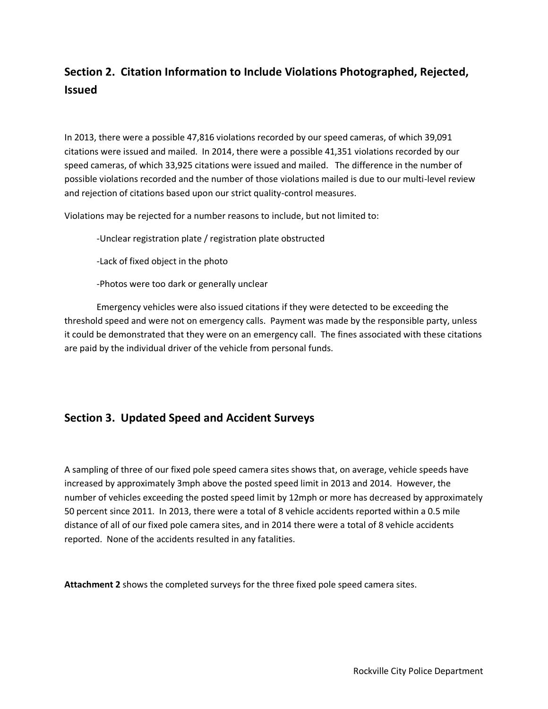# **Section 2. Citation Information to Include Violations Photographed, Rejected, Issued**

In 2013, there were a possible 47,816 violations recorded by our speed cameras, of which 39,091 citations were issued and mailed. In 2014, there were a possible 41,351 violations recorded by our speed cameras, of which 33,925 citations were issued and mailed. The difference in the number of possible violations recorded and the number of those violations mailed is due to our multi-level review and rejection of citations based upon our strict quality-control measures.

Violations may be rejected for a number reasons to include, but not limited to:

-Unclear registration plate / registration plate obstructed

-Lack of fixed object in the photo

-Photos were too dark or generally unclear

Emergency vehicles were also issued citations if they were detected to be exceeding the threshold speed and were not on emergency calls. Payment was made by the responsible party, unless it could be demonstrated that they were on an emergency call. The fines associated with these citations are paid by the individual driver of the vehicle from personal funds.

### **Section 3. Updated Speed and Accident Surveys**

A sampling of three of our fixed pole speed camera sites shows that, on average, vehicle speeds have increased by approximately 3mph above the posted speed limit in 2013 and 2014. However, the number of vehicles exceeding the posted speed limit by 12mph or more has decreased by approximately 50 percent since 2011. In 2013, there were a total of 8 vehicle accidents reported within a 0.5 mile distance of all of our fixed pole camera sites, and in 2014 there were a total of 8 vehicle accidents reported. None of the accidents resulted in any fatalities.

**Attachment 2** shows the completed surveys for the three fixed pole speed camera sites.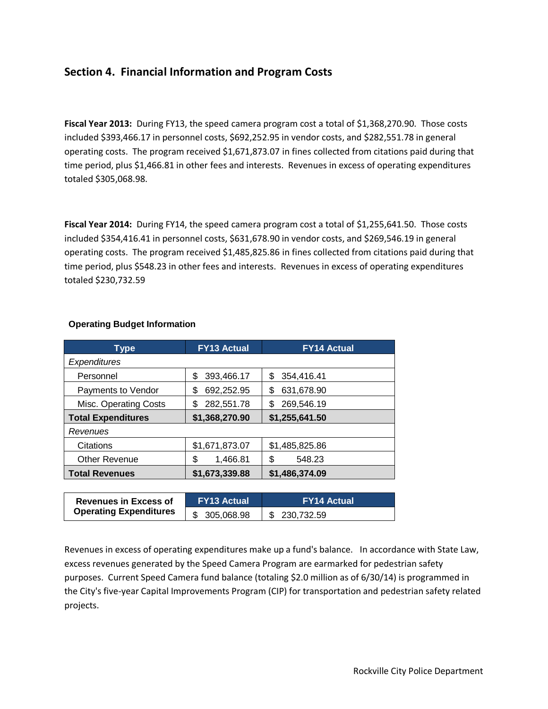### **Section 4. Financial Information and Program Costs**

Fiscal Year 2013: During FY13, the speed camera program cost a total of \$1,368,270.90. Those costs included \$393,466.17 in personnel costs, \$692,252.95 in vendor costs, and \$282,551.78 in general operating costs. The program received \$1,671,873.07 in fines collected from citations paid during that time period, plus \$1,466.81 in other fees and interests. Revenues in excess of operating expenditures totaled \$305,068.98.

Fiscal Year 2014: During FY14, the speed camera program cost a total of \$1,255,641.50. Those costs included \$354,416.41 in personnel costs, \$631,678.90 in vendor costs, and \$269,546.19 in general operating costs. The program received \$1,485,825.86 in fines collected from citations paid during that time period, plus \$548.23 in other fees and interests. Revenues in excess of operating expenditures totaled \$230,732.59

| Type                      | <b>FY13 Actual</b> | <b>FY14 Actual</b> |  |
|---------------------------|--------------------|--------------------|--|
| <b>Expenditures</b>       |                    |                    |  |
| Personnel                 | \$<br>393,466.17   | 354,416.41<br>\$   |  |
| Payments to Vendor        | 692,252.95<br>\$   | 631,678.90<br>\$   |  |
| Misc. Operating Costs     | 282,551.78<br>\$   | 269,546.19<br>\$   |  |
| <b>Total Expenditures</b> | \$1,368,270.90     | \$1,255,641.50     |  |
| Revenues                  |                    |                    |  |
| Citations                 | \$1,671,873.07     | \$1,485,825.86     |  |
| <b>Other Revenue</b>      | \$<br>1,466.81     | 548.23<br>\$       |  |
| <b>Total Revenues</b>     | \$1,673,339.88     | \$1,486,374.09     |  |

#### **Operating Budget Information**

| <b>Revenues in Excess of</b>  | <b>FY13 Actual</b> | <b>FY14 Actual</b> |
|-------------------------------|--------------------|--------------------|
| <b>Operating Expenditures</b> | \$ 305,068.98      | \$230.732.59       |

Revenues in excess of operating expenditures make up a fund's balance. In accordance with State Law, excess revenues generated by the Speed Camera Program are earmarked for pedestrian safety purposes. Current Speed Camera fund balance (totaling \$2.0 million as of 6/30/14) is programmed in the City's five-year Capital Improvements Program (CIP) for transportation and pedestrian safety related projects.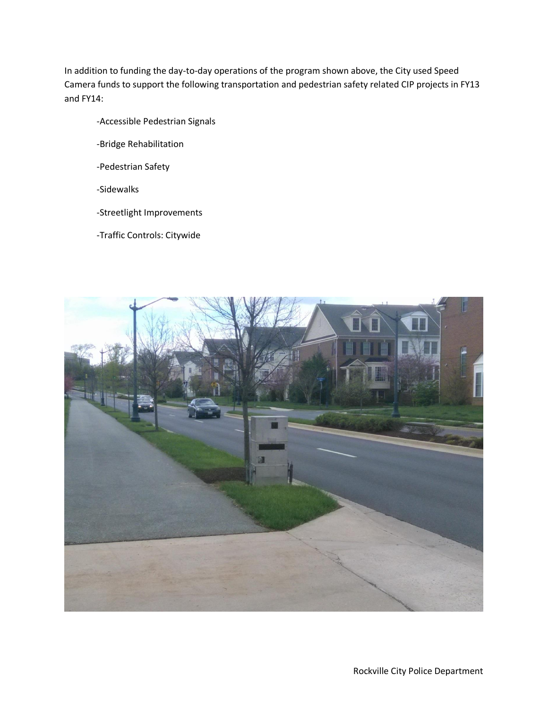In addition to funding the day-to-day operations of the program shown above, the City used Speed Camera funds to support the following transportation and pedestrian safety related CIP projects in FY13 and FY14:

- -Accessible Pedestrian Signals
- -Bridge Rehabilitation
- -Pedestrian Safety
- -Sidewalks
- -Streetlight Improvements
- -Traffic Controls: Citywide

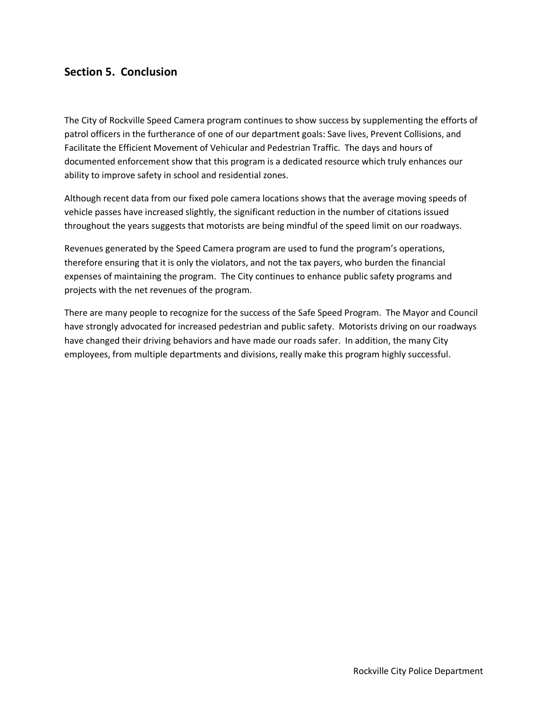### **Section 5. Conclusion**

The City of Rockville Speed Camera program continues to show success by supplementing the efforts of patrol officers in the furtherance of one of our department goals: Save lives, Prevent Collisions, and Facilitate the Efficient Movement of Vehicular and Pedestrian Traffic. The days and hours of documented enforcement show that this program is a dedicated resource which truly enhances our ability to improve safety in school and residential zones.

Although recent data from our fixed pole camera locations shows that the average moving speeds of vehicle passes have increased slightly, the significant reduction in the number of citations issued throughout the years suggests that motorists are being mindful of the speed limit on our roadways.

Revenues generated by the Speed Camera program are used to fund the program's operations, therefore ensuring that it is only the violators, and not the tax payers, who burden the financial expenses of maintaining the program. The City continues to enhance public safety programs and projects with the net revenues of the program.

There are many people to recognize for the success of the Safe Speed Program. The Mayor and Council have strongly advocated for increased pedestrian and public safety. Motorists driving on our roadways have changed their driving behaviors and have made our roads safer. In addition, the many City employees, from multiple departments and divisions, really make this program highly successful.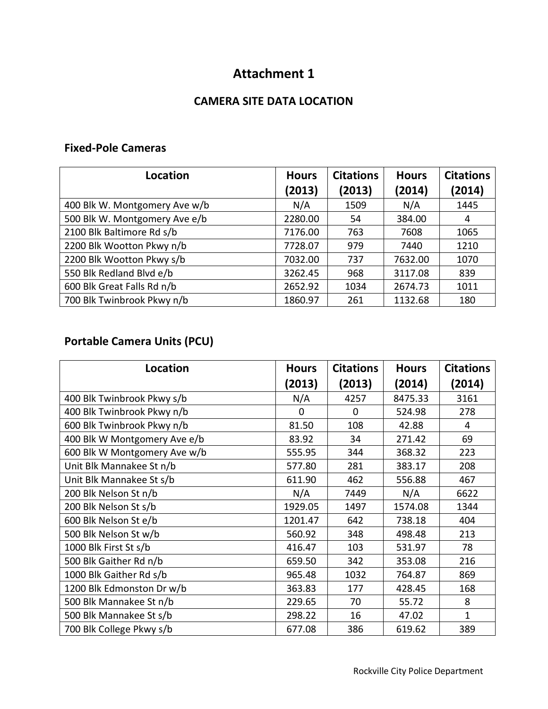# **Attachment 1**

### **CAMERA SITE DATA LOCATION**

### **Fixed-Pole Cameras**

| Location                      | <b>Hours</b><br>(2013) | <b>Citations</b><br>(2013) | <b>Hours</b><br>(2014) | <b>Citations</b><br>(2014) |
|-------------------------------|------------------------|----------------------------|------------------------|----------------------------|
| 400 Blk W. Montgomery Ave w/b | N/A                    | 1509                       | N/A                    | 1445                       |
| 500 Blk W. Montgomery Ave e/b | 2280.00                | 54                         | 384.00                 | 4                          |
| 2100 Blk Baltimore Rd s/b     | 7176.00                | 763                        | 7608                   | 1065                       |
| 2200 Blk Wootton Pkwy n/b     | 7728.07                | 979                        | 7440                   | 1210                       |
| 2200 Blk Wootton Pkwy s/b     | 7032.00                | 737                        | 7632.00                | 1070                       |
| 550 Blk Redland Blvd e/b      | 3262.45                | 968                        | 3117.08                | 839                        |
| 600 Blk Great Falls Rd n/b    | 2652.92                | 1034                       | 2674.73                | 1011                       |
| 700 Blk Twinbrook Pkwy n/b    | 1860.97                | 261                        | 1132.68                | 180                        |

## **Portable Camera Units (PCU)**

| Location                     | <b>Hours</b> | <b>Citations</b> | <b>Hours</b> | <b>Citations</b> |
|------------------------------|--------------|------------------|--------------|------------------|
|                              | (2013)       | (2013)           | (2014)       | (2014)           |
| 400 Blk Twinbrook Pkwy s/b   | N/A          | 4257             | 8475.33      | 3161             |
| 400 Blk Twinbrook Pkwy n/b   | 0            | 0                | 524.98       | 278              |
| 600 Blk Twinbrook Pkwy n/b   | 81.50        | 108              | 42.88        | 4                |
| 400 Blk W Montgomery Ave e/b | 83.92        | 34               | 271.42       | 69               |
| 600 Blk W Montgomery Ave w/b | 555.95       | 344              | 368.32       | 223              |
| Unit Blk Mannakee St n/b     | 577.80       | 281              | 383.17       | 208              |
| Unit Blk Mannakee St s/b     | 611.90       | 462              | 556.88       | 467              |
| 200 Blk Nelson St n/b        | N/A          | 7449             | N/A          | 6622             |
| 200 Blk Nelson St s/b        | 1929.05      | 1497             | 1574.08      | 1344             |
| 600 Blk Nelson St e/b        | 1201.47      | 642              | 738.18       | 404              |
| 500 Blk Nelson St w/b        | 560.92       | 348              | 498.48       | 213              |
| 1000 Blk First St s/b        | 416.47       | 103              | 531.97       | 78               |
| 500 Blk Gaither Rd n/b       | 659.50       | 342              | 353.08       | 216              |
| 1000 Blk Gaither Rd s/b      | 965.48       | 1032             | 764.87       | 869              |
| 1200 Blk Edmonston Dr w/b    | 363.83       | 177              | 428.45       | 168              |
| 500 Blk Mannakee St n/b      | 229.65       | 70               | 55.72        | 8                |
| 500 Blk Mannakee St s/b      | 298.22       | 16               | 47.02        | $\mathbf{1}$     |
| 700 Blk College Pkwy s/b     | 677.08       | 386              | 619.62       | 389              |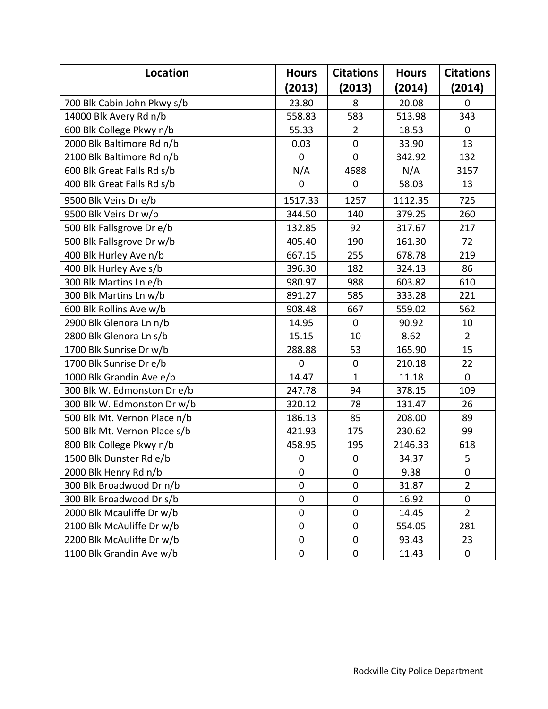| Location                     | <b>Hours</b>     | <b>Citations</b> | <b>Hours</b> | <b>Citations</b> |
|------------------------------|------------------|------------------|--------------|------------------|
|                              | (2013)           | (2013)           | (2014)       | (2014)           |
| 700 Blk Cabin John Pkwy s/b  | 23.80            | 8                | 20.08        | $\mathbf 0$      |
| 14000 Blk Avery Rd n/b       | 558.83           | 583              | 513.98       | 343              |
| 600 Blk College Pkwy n/b     | 55.33            | $\overline{2}$   | 18.53        | $\mathbf 0$      |
| 2000 Blk Baltimore Rd n/b    | 0.03             | $\pmb{0}$        | 33.90        | 13               |
| 2100 Blk Baltimore Rd n/b    | $\mathbf 0$      | $\mathbf 0$      | 342.92       | 132              |
| 600 Blk Great Falls Rd s/b   | N/A              | 4688             | N/A          | 3157             |
| 400 Blk Great Falls Rd s/b   | $\overline{0}$   | $\mathbf 0$      | 58.03        | 13               |
| 9500 Blk Veirs Dr e/b        | 1517.33          | 1257             | 1112.35      | 725              |
| 9500 Blk Veirs Dr w/b        | 344.50           | 140              | 379.25       | 260              |
| 500 Blk Fallsgrove Dr e/b    | 132.85           | 92               | 317.67       | 217              |
| 500 Blk Fallsgrove Dr w/b    | 405.40           | 190              | 161.30       | 72               |
| 400 Blk Hurley Ave n/b       | 667.15           | 255              | 678.78       | 219              |
| 400 Blk Hurley Ave s/b       | 396.30           | 182              | 324.13       | 86               |
| 300 Blk Martins Ln e/b       | 980.97           | 988              | 603.82       | 610              |
| 300 Blk Martins Ln w/b       | 891.27           | 585              | 333.28       | 221              |
| 600 Blk Rollins Ave w/b      | 908.48           | 667              | 559.02       | 562              |
| 2900 Blk Glenora Ln n/b      | 14.95            | $\mathbf 0$      | 90.92        | 10               |
| 2800 Blk Glenora Ln s/b      | 15.15            | 10               | 8.62         | $\overline{2}$   |
| 1700 Blk Sunrise Dr w/b      | 288.88           | 53               | 165.90       | 15               |
| 1700 Blk Sunrise Dr e/b      | $\mathbf 0$      | $\pmb{0}$        | 210.18       | 22               |
| 1000 Blk Grandin Ave e/b     | 14.47            | $\mathbf{1}$     | 11.18        | $\mathbf 0$      |
| 300 Blk W. Edmonston Dr e/b  | 247.78           | 94               | 378.15       | 109              |
| 300 Blk W. Edmonston Dr w/b  | 320.12           | 78               | 131.47       | 26               |
| 500 Blk Mt. Vernon Place n/b | 186.13           | 85               | 208.00       | 89               |
| 500 Blk Mt. Vernon Place s/b | 421.93           | 175              | 230.62       | 99               |
| 800 Blk College Pkwy n/b     | 458.95           | 195              | 2146.33      | 618              |
| 1500 Blk Dunster Rd e/b      | $\boldsymbol{0}$ | $\pmb{0}$        | 34.37        | 5                |
| 2000 Blk Henry Rd n/b        | $\mathbf 0$      | $\pmb{0}$        | 9.38         | $\pmb{0}$        |
| 300 Blk Broadwood Dr n/b     | $\boldsymbol{0}$ | $\pmb{0}$        | 31.87        | $\overline{2}$   |
| 300 Blk Broadwood Dr s/b     | $\mathbf 0$      | $\pmb{0}$        | 16.92        | 0                |
| 2000 Blk Mcauliffe Dr w/b    | $\boldsymbol{0}$ | $\boldsymbol{0}$ | 14.45        | $\overline{2}$   |
| 2100 Blk McAuliffe Dr w/b    | $\mathbf 0$      | $\pmb{0}$        | 554.05       | 281              |
| 2200 Blk McAuliffe Dr w/b    | $\boldsymbol{0}$ | $\pmb{0}$        | 93.43        | 23               |
| 1100 Blk Grandin Ave w/b     | $\boldsymbol{0}$ | $\pmb{0}$        | 11.43        | $\mathbf 0$      |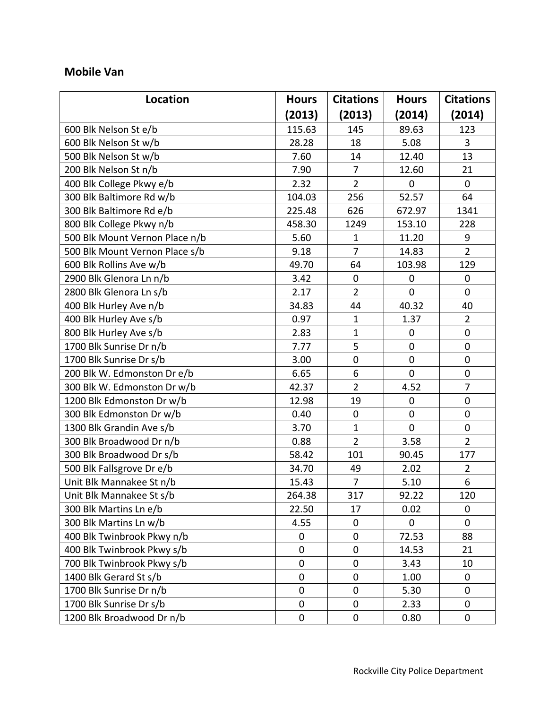### **Mobile Van**

| <b>Location</b>                | <b>Hours</b> | <b>Citations</b> | <b>Hours</b>     | <b>Citations</b> |
|--------------------------------|--------------|------------------|------------------|------------------|
|                                | (2013)       | (2013)           | (2014)           | (2014)           |
| 600 Blk Nelson St e/b          | 115.63       | 145              | 89.63            | 123              |
| 600 Blk Nelson St w/b          | 28.28        | 18               | 5.08             | 3                |
| 500 Blk Nelson St w/b          | 7.60         | 14               | 12.40            | 13               |
| 200 Blk Nelson St n/b          | 7.90         | $\overline{7}$   | 12.60            | 21               |
| 400 Blk College Pkwy e/b       | 2.32         | $\overline{2}$   | $\mathbf 0$      | $\mathbf 0$      |
| 300 Blk Baltimore Rd w/b       | 104.03       | 256              | 52.57            | 64               |
| 300 Blk Baltimore Rd e/b       | 225.48       | 626              | 672.97           | 1341             |
| 800 Blk College Pkwy n/b       | 458.30       | 1249             | 153.10           | 228              |
| 500 Blk Mount Vernon Place n/b | 5.60         | $\mathbf{1}$     | 11.20            | 9                |
| 500 Blk Mount Vernon Place s/b | 9.18         | $\overline{7}$   | 14.83            | $\overline{2}$   |
| 600 Blk Rollins Ave w/b        | 49.70        | 64               | 103.98           | 129              |
| 2900 Blk Glenora Ln n/b        | 3.42         | $\boldsymbol{0}$ | $\mathbf 0$      | $\boldsymbol{0}$ |
| 2800 Blk Glenora Ln s/b        | 2.17         | $\overline{2}$   | $\overline{0}$   | $\overline{0}$   |
| 400 Blk Hurley Ave n/b         | 34.83        | 44               | 40.32            | 40               |
| 400 Blk Hurley Ave s/b         | 0.97         | $\mathbf{1}$     | 1.37             | $\overline{2}$   |
| 800 Blk Hurley Ave s/b         | 2.83         | $\mathbf{1}$     | $\boldsymbol{0}$ | $\mathbf 0$      |
| 1700 Blk Sunrise Dr n/b        | 7.77         | 5                | $\mathbf 0$      | $\mathbf 0$      |
| 1700 Blk Sunrise Dr s/b        | 3.00         | $\pmb{0}$        | $\boldsymbol{0}$ | $\boldsymbol{0}$ |
| 200 Blk W. Edmonston Dr e/b    | 6.65         | 6                | $\mathbf 0$      | $\mathbf 0$      |
| 300 Blk W. Edmonston Dr w/b    | 42.37        | $\overline{2}$   | 4.52             | 7                |
| 1200 Blk Edmonston Dr w/b      | 12.98        | 19               | $\mathbf 0$      | $\mathbf 0$      |
| 300 Blk Edmonston Dr w/b       | 0.40         | $\boldsymbol{0}$ | $\mathbf 0$      | $\mathbf 0$      |
| 1300 Blk Grandin Ave s/b       | 3.70         | $\mathbf{1}$     | $\mathbf 0$      | $\pmb{0}$        |
| 300 Blk Broadwood Dr n/b       | 0.88         | $\overline{2}$   | 3.58             | $\overline{2}$   |
| 300 Blk Broadwood Dr s/b       | 58.42        | 101              | 90.45            | 177              |
| 500 Blk Fallsgrove Dr e/b      | 34.70        | 49               | 2.02             | $\overline{2}$   |
| Unit Blk Mannakee St n/b       | 15.43        | $\overline{7}$   | 5.10             | 6                |
| Unit Blk Mannakee St s/b       | 264.38       | 317              | 92.22            | 120              |
| 300 Blk Martins Ln e/b         | 22.50        | 17               | 0.02             | 0                |
| 300 Blk Martins Ln w/b         | 4.55         | $\boldsymbol{0}$ | $\mathbf 0$      | $\mathbf 0$      |
| 400 Blk Twinbrook Pkwy n/b     | 0            | $\boldsymbol{0}$ | 72.53            | 88               |
| 400 Blk Twinbrook Pkwy s/b     | $\mathbf 0$  | $\pmb{0}$        | 14.53            | 21               |
| 700 Blk Twinbrook Pkwy s/b     | $\mathbf 0$  | $\mathbf 0$      | 3.43             | 10               |
| 1400 Blk Gerard St s/b         | $\mathbf 0$  | 0                | 1.00             | $\overline{0}$   |
| 1700 Blk Sunrise Dr n/b        | $\mathbf 0$  | $\mathbf 0$      | 5.30             | 0                |
| 1700 Blk Sunrise Dr s/b        | $\mathbf 0$  | $\mathbf 0$      | 2.33             | 0                |
| 1200 Blk Broadwood Dr n/b      | $\pmb{0}$    | $\pmb{0}$        | 0.80             | $\pmb{0}$        |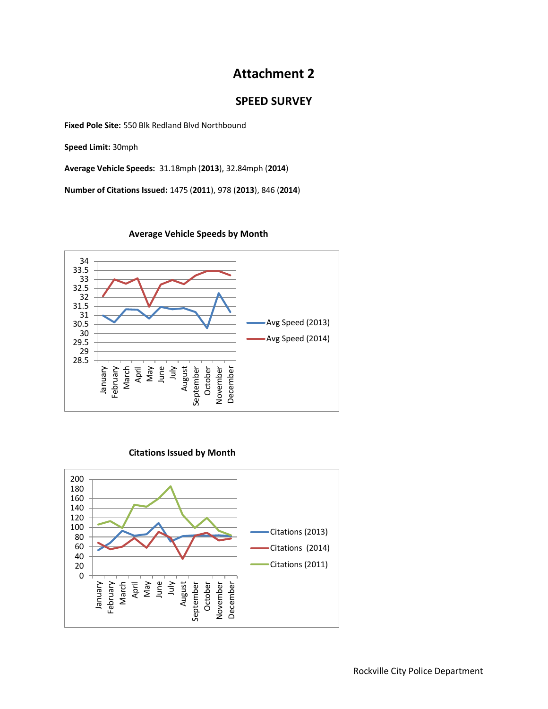## **Attachment 2**

### **SPEED SURVEY**

**Fixed Pole Site:** 550 Blk Redland Blvd Northbound

**Speed Limit:** 30mph

**Average Vehicle Speeds:** 31.18mph (**2013**), 32.84mph (**2014**)

**Number of Citations Issued:** 1475 (**2011**), 978 (**2013**), 846 (**2014**)



#### **Average Vehicle Speeds by Month**

#### **Citations Issued by Month**

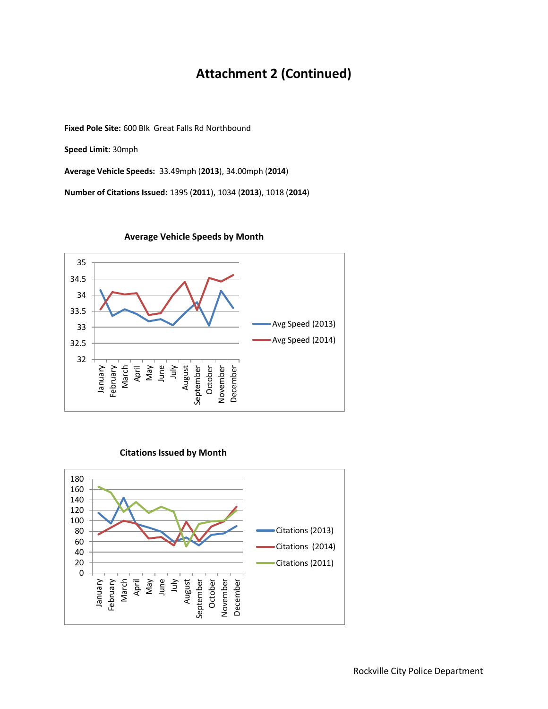# **Attachment 2 (Continued)**

**Fixed Pole Site:** 600 Blk Great Falls Rd Northbound

**Speed Limit:** 30mph

**Average Vehicle Speeds:** 33.49mph (**2013**), 34.00mph (**2014**)

**Number of Citations Issued:** 1395 (**2011**), 1034 (**2013**), 1018 (**2014**)



#### **Average Vehicle Speeds by Month**

#### **Citations Issued by Month**